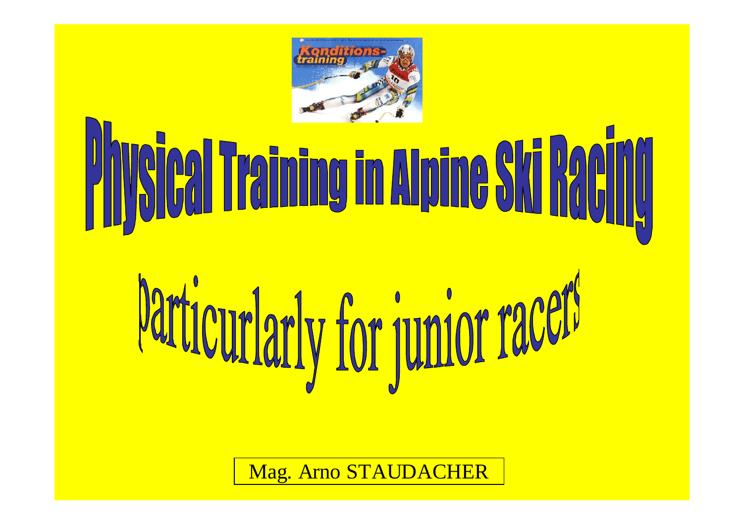

## **Profed Training in Alpine Ski Racing**

# Particurlarly for junior racer

Mag. Arno STAUDACHER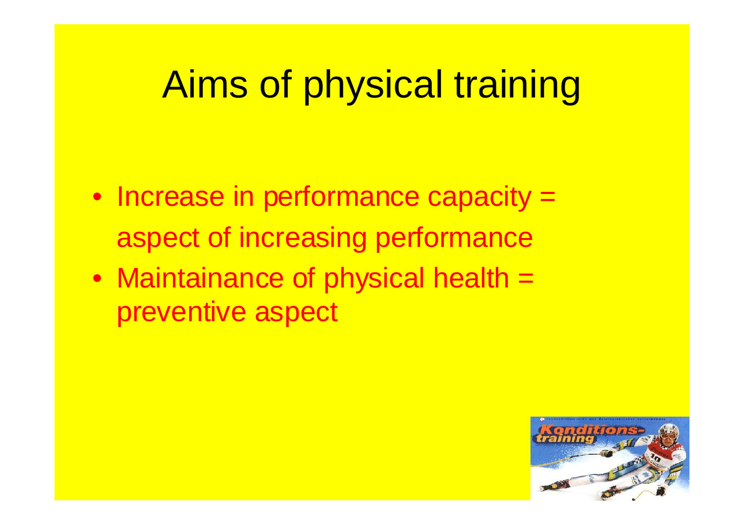## Aims of physical training

- Increase in performance capacity = aspect of increasing performance
- Maintainance of physical health = preventive aspect

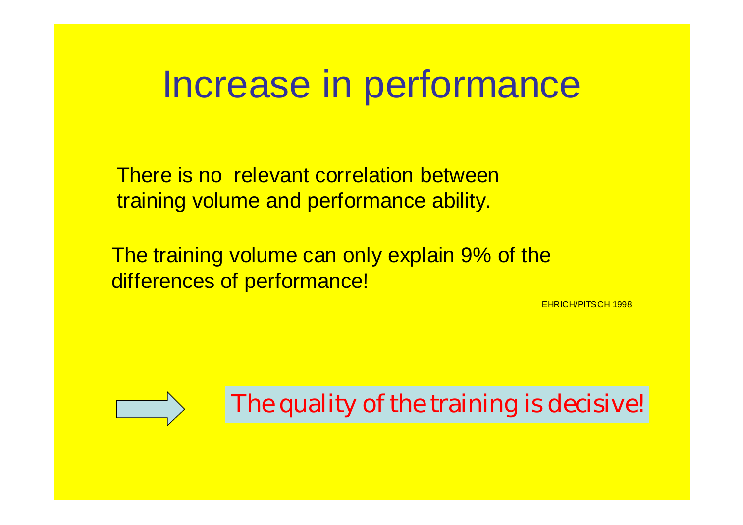#### Increase in performance

There is no relevant correlation between training volume and performance ability.

The training volume can only explain 9% of the differences of performance!

EHRICH/PITSCH 1998



The quality of the training is decisive!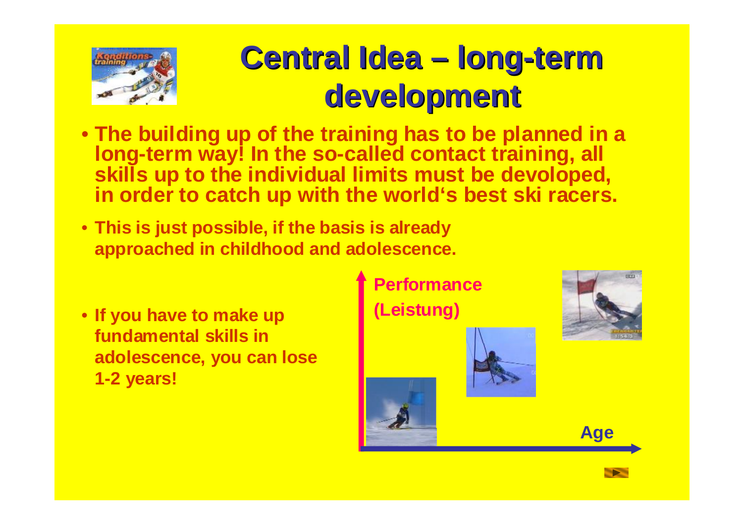

#### **Central Idea – long-term development**

- **The building up of the training has to be planned in a long-term way! In the so-called contact training, all skills up to the individual limits must be devoloped, in order to catch up with the world's best ski racers.**
- **This is just possible, if the basis is already approached in childhood and adolescence.**
- **If you have to make up fundamental skills in adolescence, you can lose 1-2 years!**

**Performance (Leistung)**





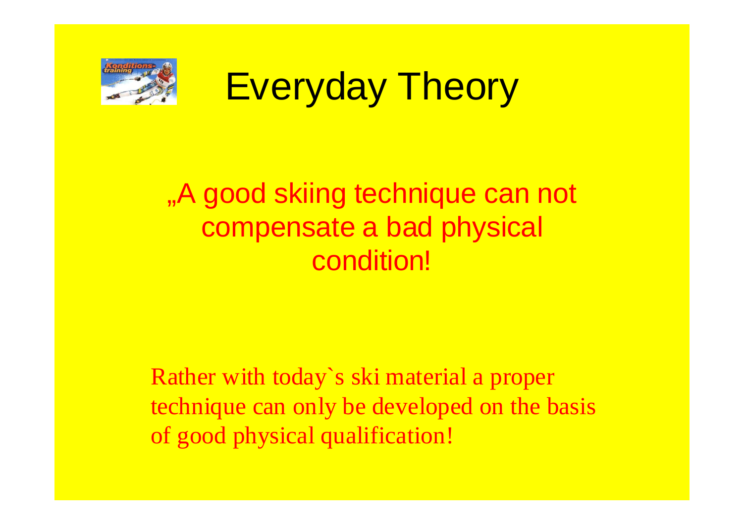

## Everyday Theory

#### "A good skiing technique can not compensate a bad physical condition!

Rather with today`s ski material a proper technique can only be developed on the basis of good physical qualification!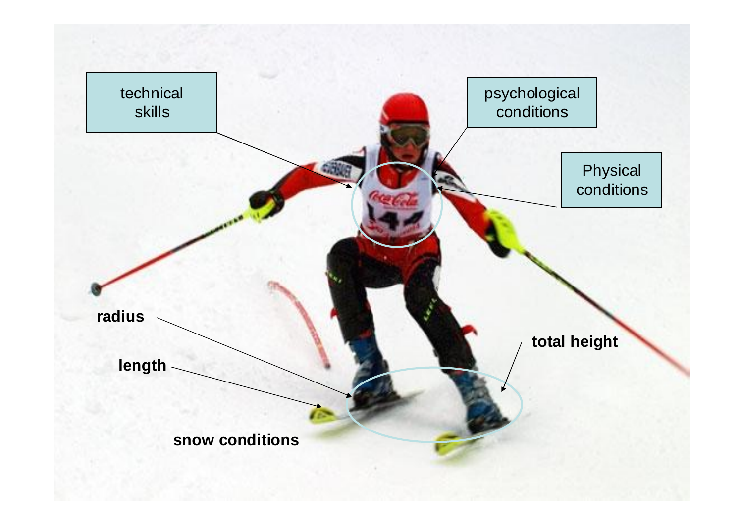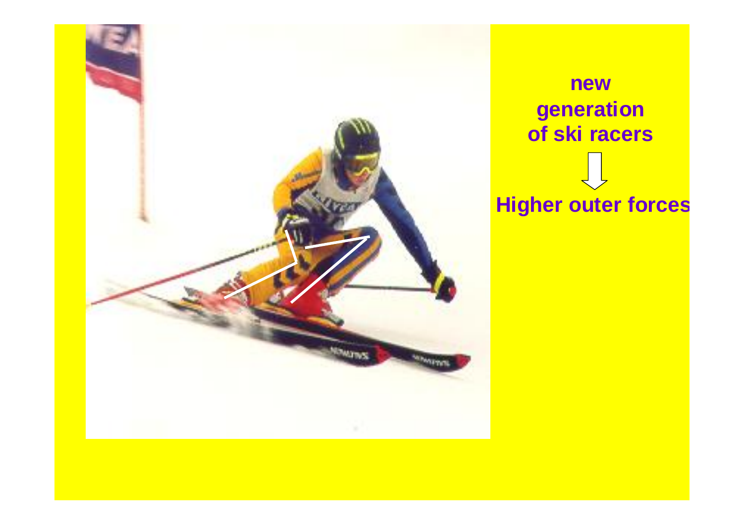

**new generation of ski racers Higher outer forces**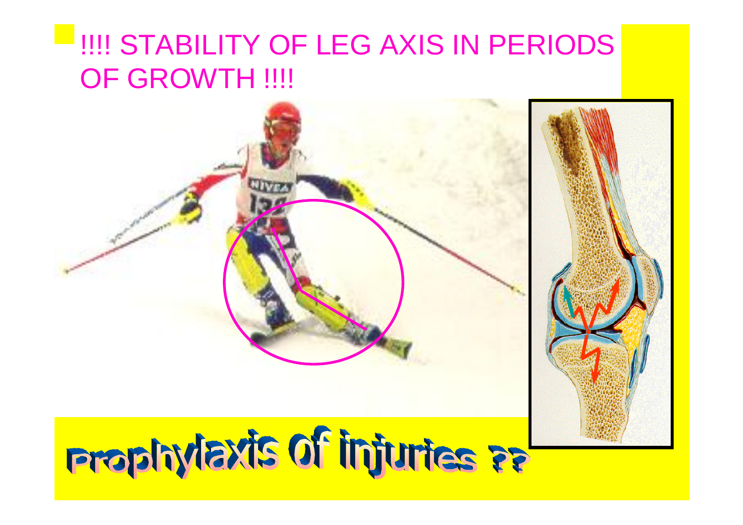#### **PHILLE STABILITY OF LEG AXIS IN PERIODS** OF GROWTH !!!!

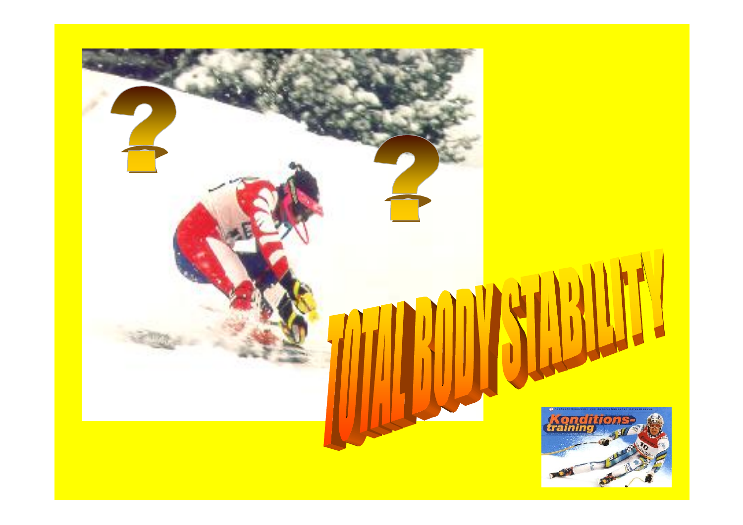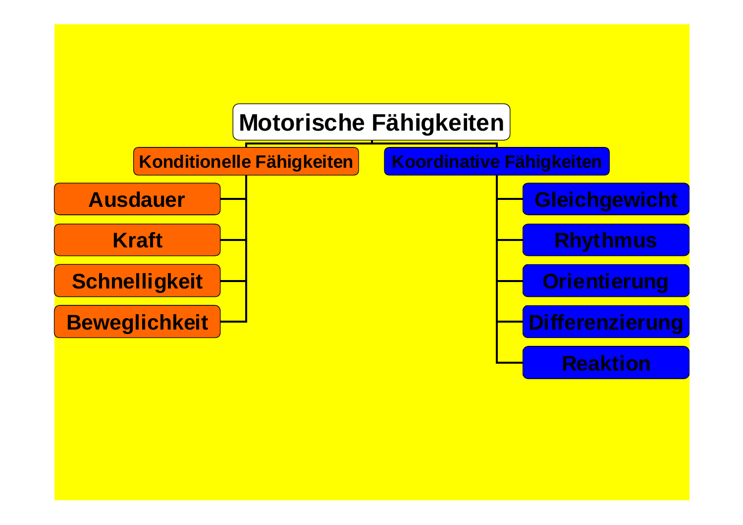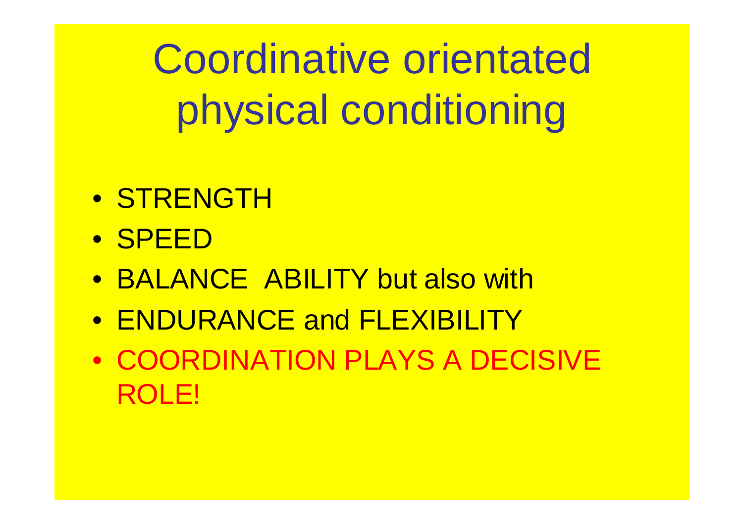Coordinative orientated physical conditioning

- STRENGTH
- SPEED
- BALANCE ABILITY but also with
- ENDURANCE and FLEXIBILITY
- COORDINATION PLAYS A DECISIVE ROLE!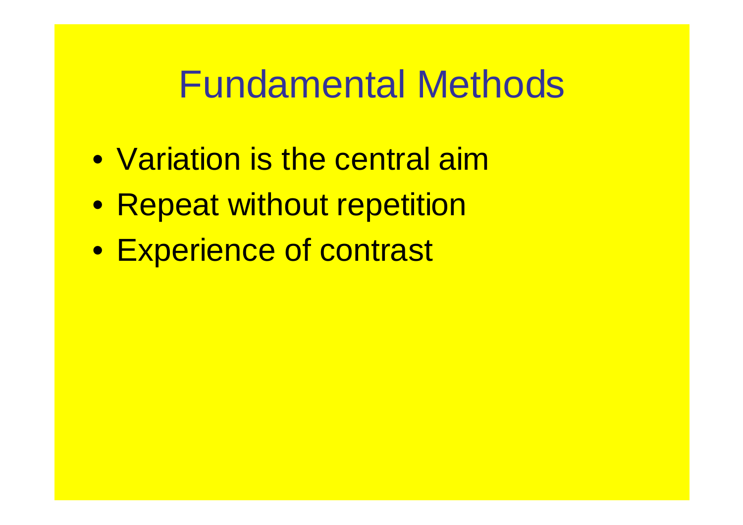### Fundamental Methods

- Variation is the central aim
- Repeat without repetition
- Experience of contrast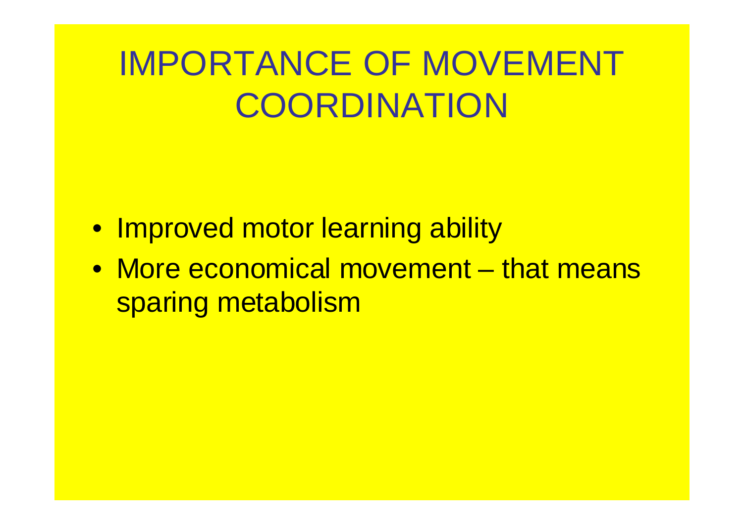## IMPORTANCE OF MOVEMENT **COORDINATION**

- Improved motor learning ability
- More economical movement that means sparing metabolism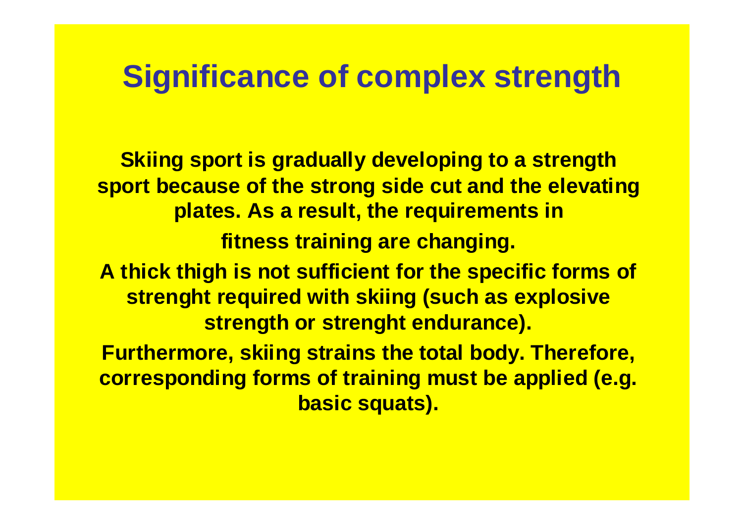#### **Significance of complex strength**

**Skiing sport is gradually developing to a strength sport because of the strong side cut and the elevating plates. As a result, the requirements in fitness training are changing. A thick thigh is not sufficient for the specific forms of strenght required with skiing (such as explosive strength or strenght endurance). Furthermore, skiing strains the total body. Therefore, corresponding forms of training must be applied (e.g. basic squats).**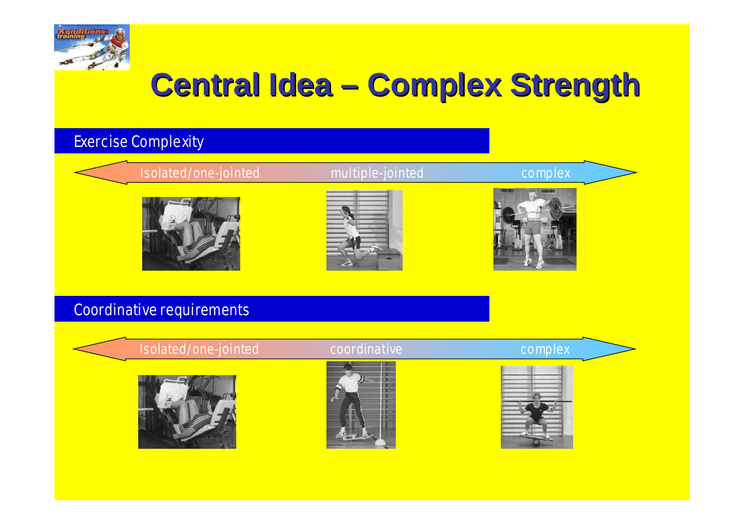

#### **Central Idea – Complex Strength**

#### Exercise Complexity

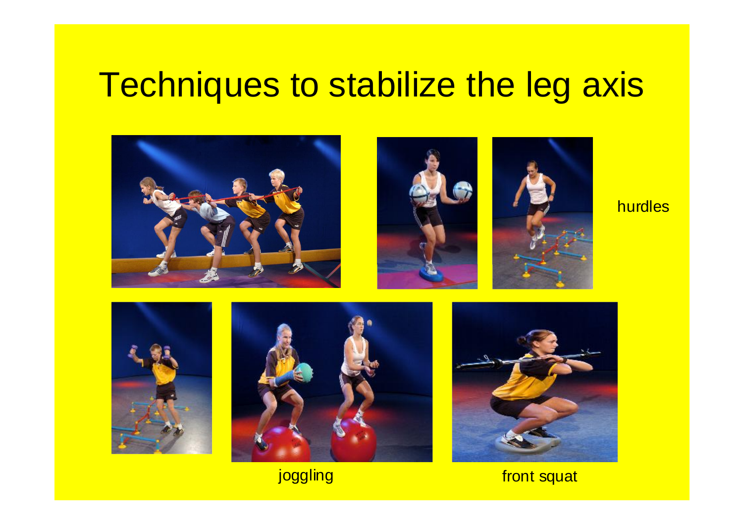#### Techniques to stabilize the leg axis







hurdles







joggling front squat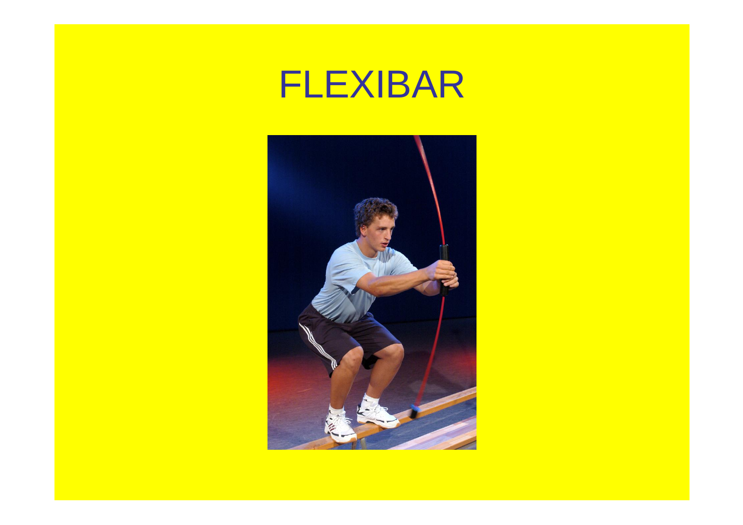

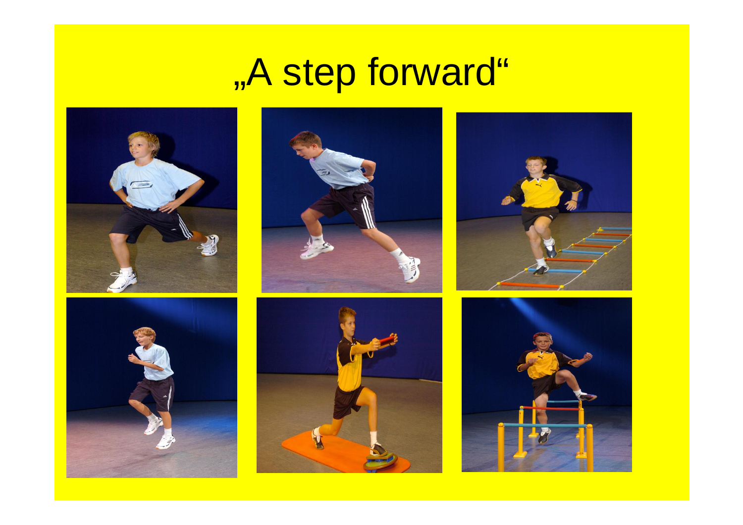## "A step forward"











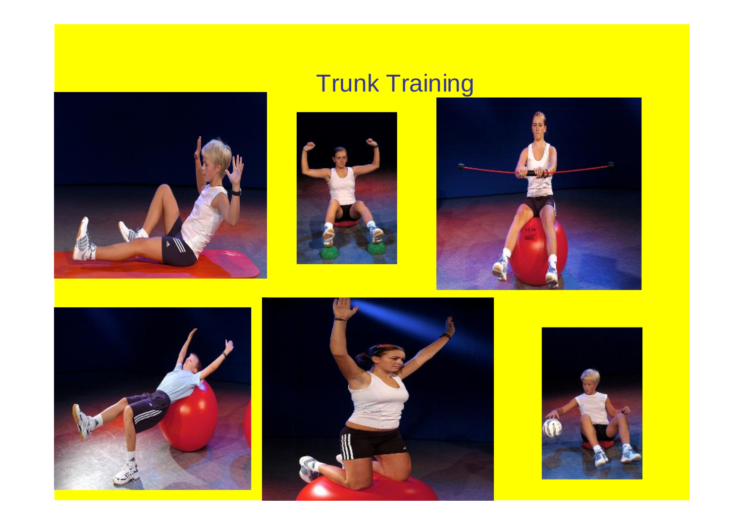

#### **Trunk Training**









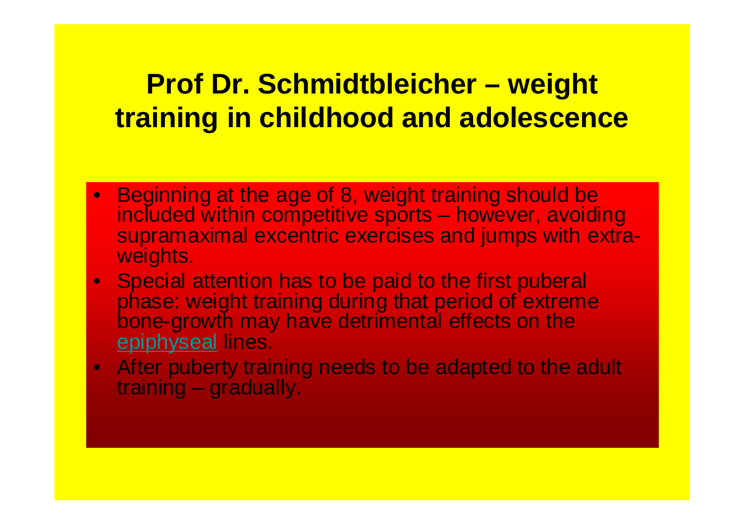#### **Prof Dr. Schmidtbleicher – weight training in childhood and adolescence**

- Beginning at the age of 8, weight training should be included within competitive sports – however, avoiding supramaximal excentric exercises and jumps with extraweights.
- Special attention has to be paid to the first puberal phase: weight training during that period of extreme bone-growth may have detrimental effects on the epiphyseal lines.
- After puberty training needs to be adapted to the adult training – gradually.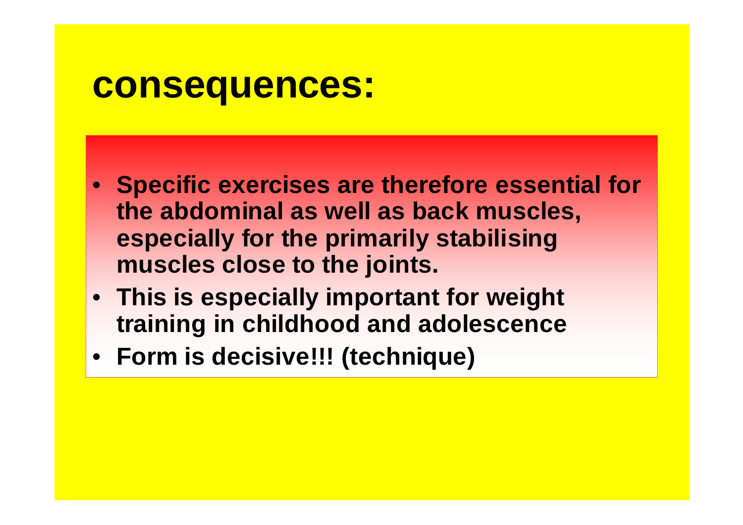#### **consequences:**

- **Specific exercises are therefore essential for the abdominal as well as back muscles, especially for the primarily stabilising muscles close to the joints.**
- **This is especially important for weight training in childhood and adolescence**
- **Form is decisive!!! (technique)**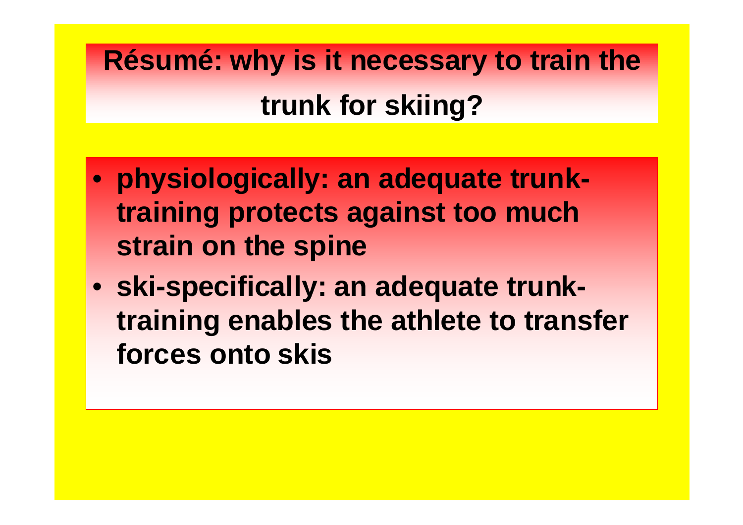**Résumé: why is it necessary to train the trunk for skiing?**

- **physiologically: an adequate trunktraining protects against too much strain on the spine**
- **ski-specifically: an adequate trunktraining enables the athlete to transfer forces onto skis**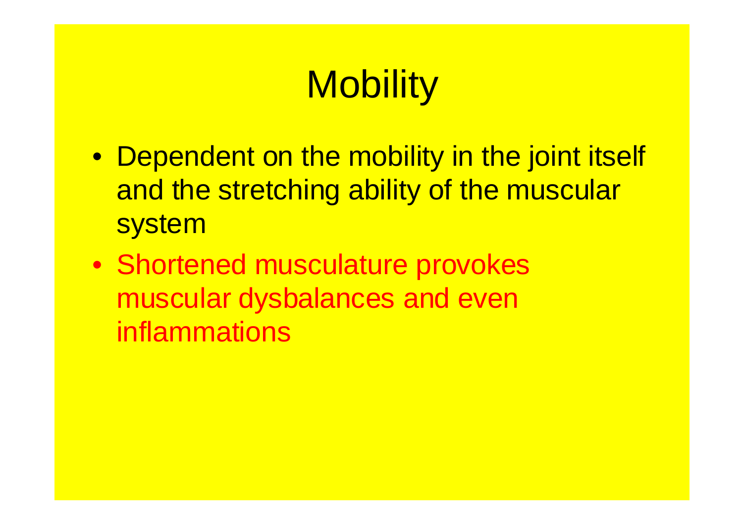## **Mobility**

- Dependent on the mobility in the joint itself and the stretching ability of the muscular system
- Shortened musculature provokes muscular dysbalances and even inflammations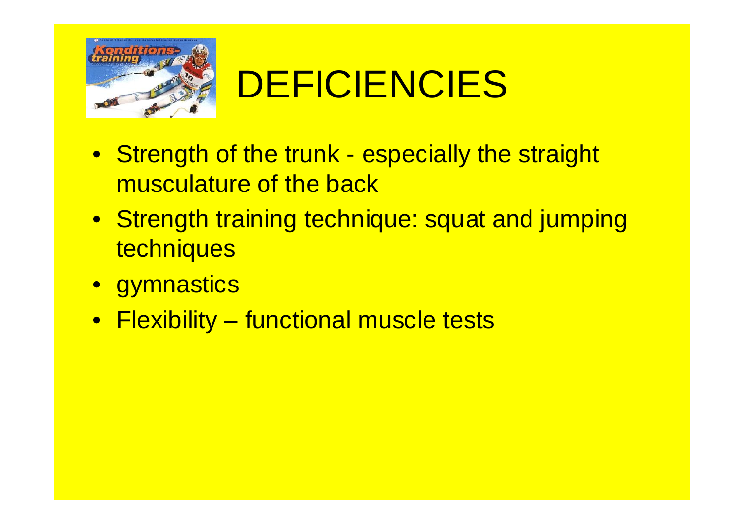

## DEFICIENCIES

- Strength of the trunk especially the straight musculature of the back
- Strength training technique: squat and jumping techniques
- gymnastics
- Flexibility functional muscle tests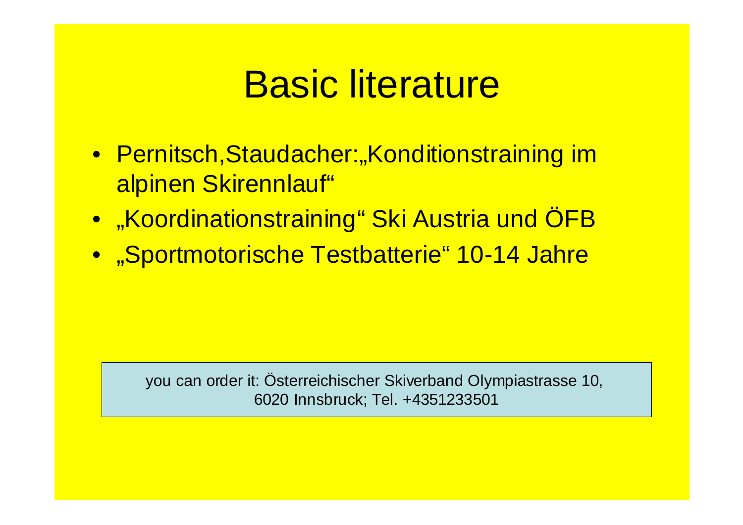## Basic literature

- Pernitsch, Staudacher: "Konditionstraining im alpinen Skirennlauf"
- "Koordinationstraining" Ski Austria und ÖFB
- "Sportmotorische Testbatterie" 10-14 Jahre

you can order it: Österreichischer Skiverband Olympiastrasse 10, 6020 Innsbruck; Tel. +4351233501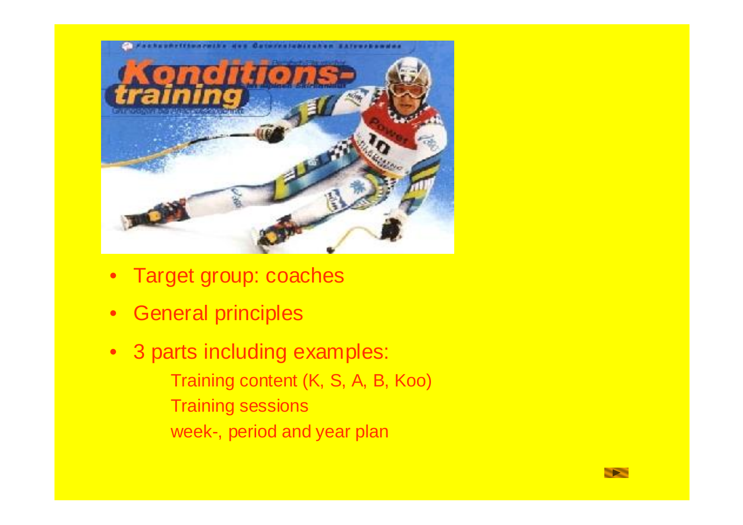

- Target group: coaches
- General principles
- 3 parts including examples: Training content (K, S, A, B, Koo) Training sessions week-, period and year plan

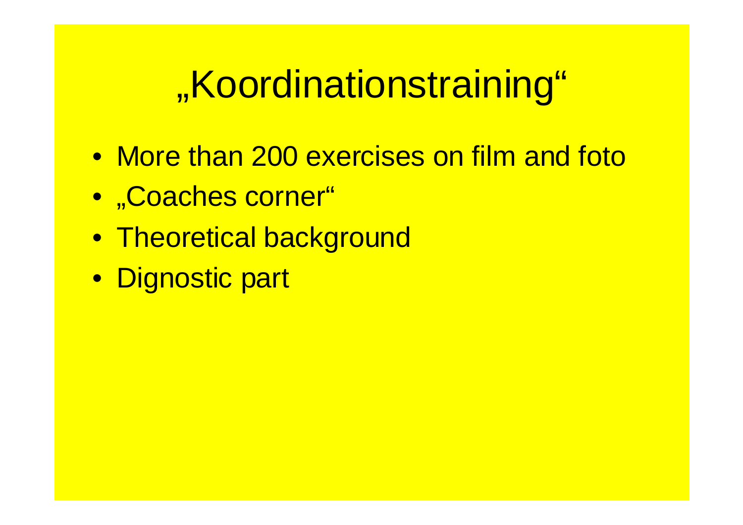## "Koordinationstraining"

- More than 200 exercises on film and foto
- "Coaches corner"
- Theoretical background
- Dignostic part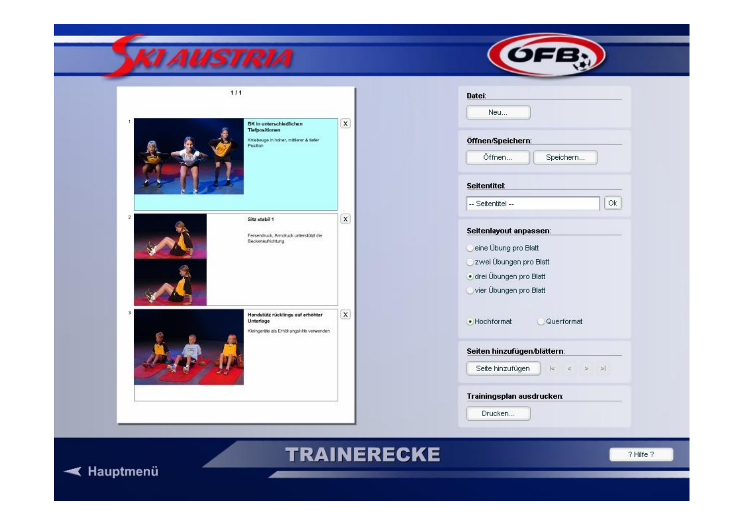| $111$<br>BK in unterschiedlichen<br><b>Tiefpositionen</b> | $\mathsf{x}$                                                                                              | Datei:<br>Neu                                                                                                                  |
|-----------------------------------------------------------|-----------------------------------------------------------------------------------------------------------|--------------------------------------------------------------------------------------------------------------------------------|
|                                                           |                                                                                                           |                                                                                                                                |
| Position                                                  | Kriebeuge in hoher, mitterer & tiefer                                                                     | Öffnen/Speichern:<br>Öffnen<br>Speichern                                                                                       |
|                                                           |                                                                                                           | Seitentitel:<br>Ok<br>-- Seitentitel --                                                                                        |
| $\overline{2}$<br>Sitz stabil 1<br>Beckenaufrichtung      | $\mathsf X$<br>Fersendruck, Armdruck unterstützt die                                                      | Seitenlayout anpassen:<br>eine Übung pro Blatt<br>zwei Übungen pro Blatt<br>· drei Übungen pro Blatt<br>vier Übungen pro Blatt |
| 3<br>Unterlage                                            | $\boldsymbol{\mathsf{x}}$<br>Handstütz rücklings auf erhöhter<br>Kleingeräte als Erhöhungshiffe verwenden | · Hochformat<br>Querformat                                                                                                     |
|                                                           |                                                                                                           | Seiten hinzufügen/blättern:<br>Seite hinzufügen<br>$ \ll$<br>$\geq$<br>$\alpha$<br>$\rightarrow$                               |
|                                                           |                                                                                                           | Trainingsplan ausdrucken:                                                                                                      |

**TRAINERECKE** 

 $\sqrt{2}$ 



? Hilfe ?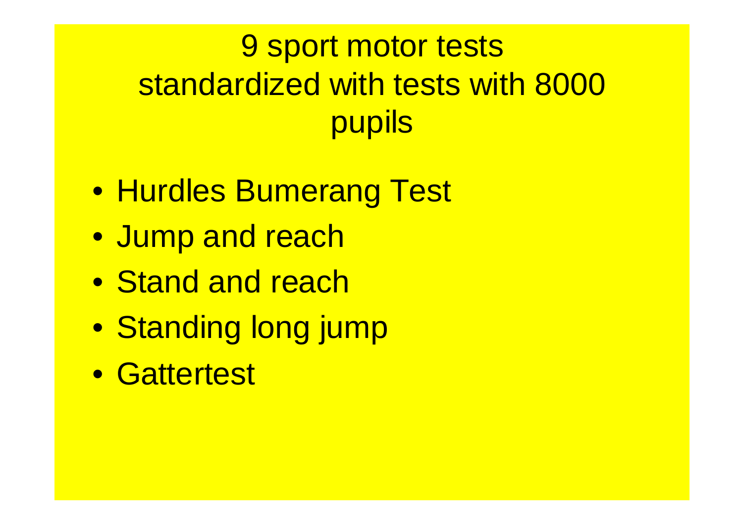#### 9 sport motor tests standardized with tests with 8000 pupils

- Hurdles Bumerang Test
- Jump and reach
- Stand and reach
- Standing long jump
- Gattertest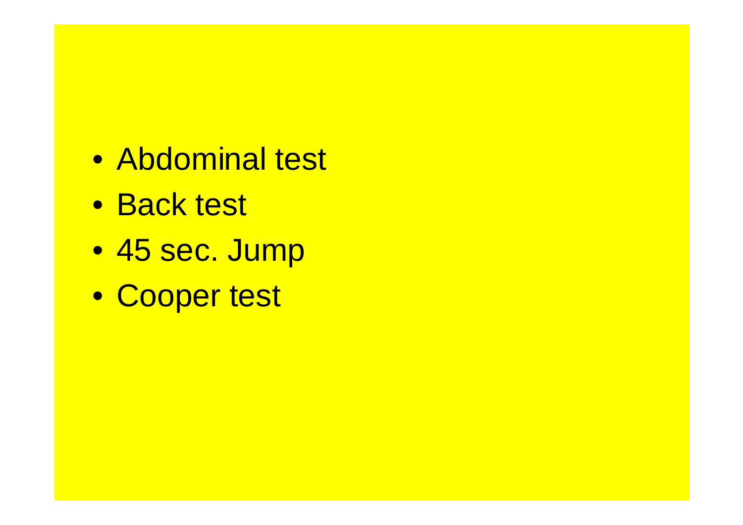- Abdominal test
- Back test
- 45 sec. Jump
- Cooper test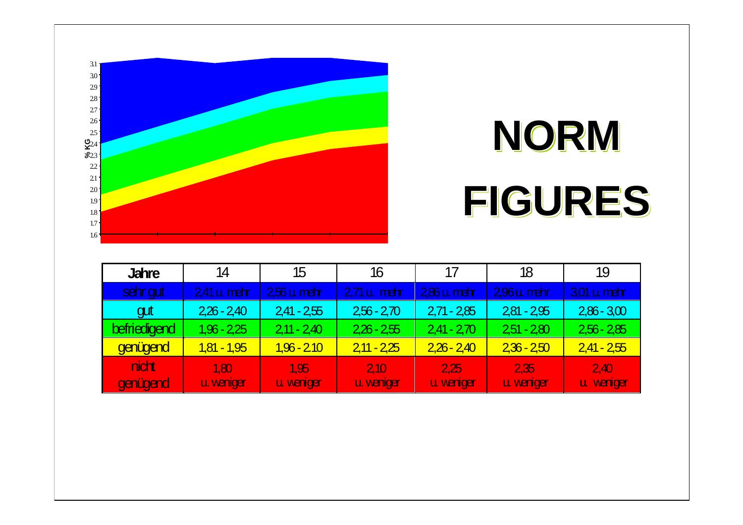

## **NORM FIGURES**

| <b>Jahre</b>      | 14                 | 15                | 16                | 17                | 18                | 19                |
|-------------------|--------------------|-------------------|-------------------|-------------------|-------------------|-------------------|
| sehr gut          | 2,41 u. mehr       | $256 u$ mehr      | 2,71 u. mehr      | $286 u$ mehr      | 296 u. mehr       | $3,01$ u mehr     |
| gut               | $226 - 240$        | $241 - 255$       | $256 - 270$       | $2,71 - 285$      | $281 - 295$       | $2,86 - 3,00$     |
| befriedigend      | $1,96 - 2,25$      | $211 - 240$       | $226 - 255$       | $2,41 - 270$      | $251 - 280$       | $2,56 - 285$      |
| genügend          | $1,81 - 1,95$      | $1,96 - 210$      | $211 - 225$       | $2,26 - 2,40$     | $236 - 250$       | $2,41 - 2,55$     |
| nicht<br>genügend | 1.80<br>u. weniger | 1.95<br>u veniger | 210<br>u. veniger | 2.25<br>u veniger | 2.35<br>u veniger | 2.40<br>u veniger |